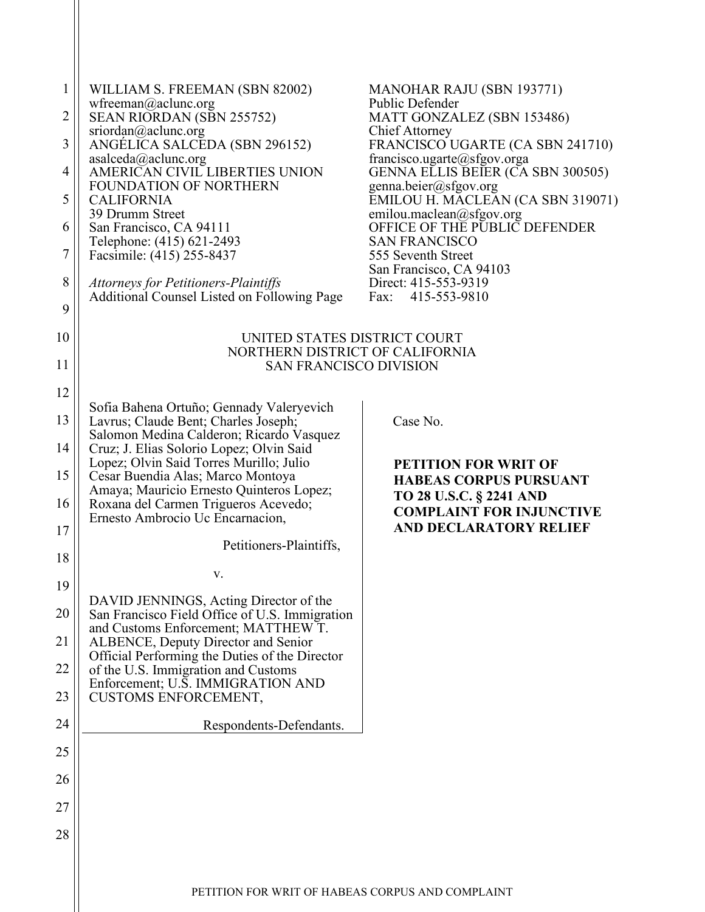| $\mathbf{1}$<br>$\overline{2}$<br>3<br>4<br>5<br>6<br>7<br>8<br>9 | WILLIAM S. FREEMAN (SBN 82002)<br>wfreeman@aclunc.org<br>SEAN RIORDAN (SBN 255752)<br>sriordan@aclunc.org<br>ANGÉLICA SALCEDA (SBN 296152)<br>asalceda@aclunc.org<br>AMERICAN CIVIL LIBERTIES UNION<br><b>FOUNDATION OF NORTHERN</b><br><b>CALIFORNIA</b><br>39 Drumm Street<br>San Francisco, CA 94111<br>Telephone: (415) 621-2493<br>Facsimile: (415) 255-8437<br>Attorneys for Petitioners-Plaintiffs<br>Additional Counsel Listed on Following Page | <b>MANOHAR RAJU (SBN 193771)</b><br>Public Defender<br>MATT GONZALEZ (SBN 153486)<br><b>Chief Attorney</b><br>FRANCISCO UGARTE (CA SBN 241710)<br>francisco.ugarte@sfgov.orga<br>GENNA ELLIS BEIER (CA SBN 300505)<br>genna.beier@sfgov.org<br>EMILOU H. MACLEAN (CA SBN 319071)<br>emilou.maclean@sfgov.org<br>OFFICE OF THE PUBLIC DEFENDER<br><b>SAN FRANCISCO</b><br>555 Seventh Street<br>San Francisco, CA 94103<br>Direct: 415-553-9319<br>415-553-9810<br>Fax: |
|-------------------------------------------------------------------|----------------------------------------------------------------------------------------------------------------------------------------------------------------------------------------------------------------------------------------------------------------------------------------------------------------------------------------------------------------------------------------------------------------------------------------------------------|------------------------------------------------------------------------------------------------------------------------------------------------------------------------------------------------------------------------------------------------------------------------------------------------------------------------------------------------------------------------------------------------------------------------------------------------------------------------|
| 10                                                                | UNITED STATES DISTRICT COURT                                                                                                                                                                                                                                                                                                                                                                                                                             |                                                                                                                                                                                                                                                                                                                                                                                                                                                                        |
| 11                                                                | NORTHERN DISTRICT OF CALIFORNIA<br><b>SAN FRANCISCO DIVISION</b>                                                                                                                                                                                                                                                                                                                                                                                         |                                                                                                                                                                                                                                                                                                                                                                                                                                                                        |
|                                                                   |                                                                                                                                                                                                                                                                                                                                                                                                                                                          |                                                                                                                                                                                                                                                                                                                                                                                                                                                                        |
| 12<br>13                                                          | Sofia Bahena Ortuño; Gennady Valeryevich<br>Lavrus; Claude Bent; Charles Joseph;                                                                                                                                                                                                                                                                                                                                                                         | Case No.                                                                                                                                                                                                                                                                                                                                                                                                                                                               |
|                                                                   | Salomon Medina Calderon; Ricardo Vasquez                                                                                                                                                                                                                                                                                                                                                                                                                 |                                                                                                                                                                                                                                                                                                                                                                                                                                                                        |
| 14                                                                | Cruz; J. Elias Solorio Lopez; Olvin Said<br>Lopez; Olvin Said Torres Murillo; Julio                                                                                                                                                                                                                                                                                                                                                                      | <b>PETITION FOR WRIT OF</b>                                                                                                                                                                                                                                                                                                                                                                                                                                            |
| 15                                                                | Cesar Buendia Alas; Marco Montoya                                                                                                                                                                                                                                                                                                                                                                                                                        | <b>HABEAS CORPUS PURSUANT</b>                                                                                                                                                                                                                                                                                                                                                                                                                                          |
| 16                                                                | Amaya; Mauricio Ernesto Quinteros Lopez;<br>Roxana del Carmen Trigueros Acevedo;<br>Ernesto Ambrocio Uc Encarnacion,                                                                                                                                                                                                                                                                                                                                     | <b>TO 28 U.S.C. § 2241 AND</b><br><b>COMPLAINT FOR INJUNCTIVE</b>                                                                                                                                                                                                                                                                                                                                                                                                      |
| 17                                                                |                                                                                                                                                                                                                                                                                                                                                                                                                                                          | <b>AND DECLARATORY RELIEF</b>                                                                                                                                                                                                                                                                                                                                                                                                                                          |
| 18                                                                | Petitioners-Plaintiffs,                                                                                                                                                                                                                                                                                                                                                                                                                                  |                                                                                                                                                                                                                                                                                                                                                                                                                                                                        |
|                                                                   | v.                                                                                                                                                                                                                                                                                                                                                                                                                                                       |                                                                                                                                                                                                                                                                                                                                                                                                                                                                        |
| 19                                                                | DAVID JENNINGS, Acting Director of the                                                                                                                                                                                                                                                                                                                                                                                                                   |                                                                                                                                                                                                                                                                                                                                                                                                                                                                        |
| 20<br>21                                                          | San Francisco Field Office of U.S. Immigration<br>and Customs Enforcement; MATTHEW T.<br><b>ALBENCE, Deputy Director and Senior</b>                                                                                                                                                                                                                                                                                                                      |                                                                                                                                                                                                                                                                                                                                                                                                                                                                        |
|                                                                   | Official Performing the Duties of the Director                                                                                                                                                                                                                                                                                                                                                                                                           |                                                                                                                                                                                                                                                                                                                                                                                                                                                                        |
| 22                                                                | of the U.S. Immigration and Customs<br>Enforcement; U.S. IMMIGRATION AND                                                                                                                                                                                                                                                                                                                                                                                 |                                                                                                                                                                                                                                                                                                                                                                                                                                                                        |
| 23                                                                | <b>CUSTOMS ENFORCEMENT,</b>                                                                                                                                                                                                                                                                                                                                                                                                                              |                                                                                                                                                                                                                                                                                                                                                                                                                                                                        |
| 24                                                                | Respondents-Defendants.                                                                                                                                                                                                                                                                                                                                                                                                                                  |                                                                                                                                                                                                                                                                                                                                                                                                                                                                        |
|                                                                   |                                                                                                                                                                                                                                                                                                                                                                                                                                                          |                                                                                                                                                                                                                                                                                                                                                                                                                                                                        |
| 25                                                                |                                                                                                                                                                                                                                                                                                                                                                                                                                                          |                                                                                                                                                                                                                                                                                                                                                                                                                                                                        |
| 26                                                                |                                                                                                                                                                                                                                                                                                                                                                                                                                                          |                                                                                                                                                                                                                                                                                                                                                                                                                                                                        |
| 27                                                                |                                                                                                                                                                                                                                                                                                                                                                                                                                                          |                                                                                                                                                                                                                                                                                                                                                                                                                                                                        |
| 28                                                                |                                                                                                                                                                                                                                                                                                                                                                                                                                                          |                                                                                                                                                                                                                                                                                                                                                                                                                                                                        |
|                                                                   |                                                                                                                                                                                                                                                                                                                                                                                                                                                          |                                                                                                                                                                                                                                                                                                                                                                                                                                                                        |
|                                                                   |                                                                                                                                                                                                                                                                                                                                                                                                                                                          |                                                                                                                                                                                                                                                                                                                                                                                                                                                                        |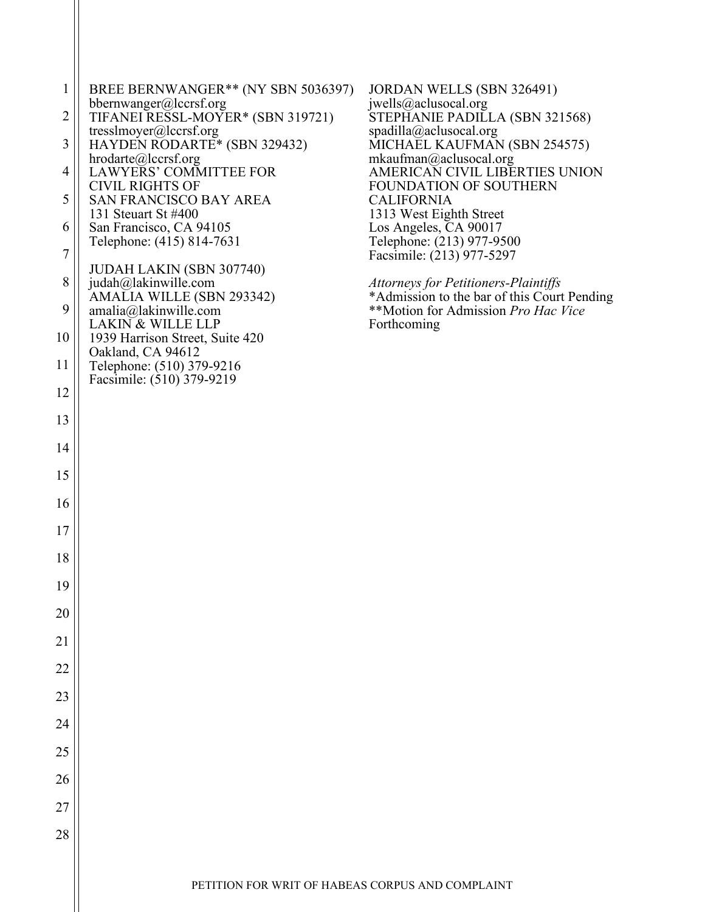| $\mathbf{1}$    | BREE BERNWANGER** (NY SBN 5036397)<br>bbernwanger@lccrsf.org                         | JORDAN WELLS (SBN 326491)<br>jwells@aclusocal.org                                   |
|-----------------|--------------------------------------------------------------------------------------|-------------------------------------------------------------------------------------|
| 2               | TIFANEI RESSL-MOYER* (SBN 319721)<br>tresslmoyer@lccrsf.org                          | STEPHANIE PADILLA (SBN 321568)<br>spadilla@aclusocal.org                            |
| 3               | HAYDEN RODARTE* (SBN 329432)<br>hrodarte@lccrsf.org                                  | MICHAEL KAUFMAN (SBN 254575)<br>mkaufman@aclusocal.org                              |
| 4               | <b>LAWYERS' COMMITTEE FOR</b>                                                        | AMERICAN CIVIL LIBERTIES UNION                                                      |
| 5               | <b>CIVIL RIGHTS OF</b><br>SAN FRANCISCO BAY AREA<br>131 Steuart St #400              | FOUNDATION OF SOUTHERN<br><b>CALIFORNIA</b><br>1313 West Eighth Street              |
| 6               | San Francisco, CA 94105                                                              | Los Angeles, CA 90017                                                               |
| 7               | Telephone: (415) 814-7631                                                            | Telephone: (213) 977-9500<br>Facsimile: (213) 977-5297                              |
| 8               | JUDAH LAKIN (SBN 307740)<br>judah@lakinwille.com<br>AMALIA WILLE (SBN 293342)        | Attorneys for Petitioners-Plaintiffs<br>*Admission to the bar of this Court Pending |
| 9               | amalia@laking will e.com                                                             | **Motion for Admission Pro Hac Vice<br>Forthcoming                                  |
| 10              | <b>LAKIN &amp; WILLE LLP</b><br>1939 Harrison Street, Suite 420<br>Oakland, CA 94612 |                                                                                     |
| 11              | Telephone: (510) 379-9216<br>Facsimile: (510) 379-9219                               |                                                                                     |
| 12              |                                                                                      |                                                                                     |
| 13              |                                                                                      |                                                                                     |
| 14              |                                                                                      |                                                                                     |
| 15              |                                                                                      |                                                                                     |
| 16              |                                                                                      |                                                                                     |
| 17              |                                                                                      |                                                                                     |
| 18              |                                                                                      |                                                                                     |
| 19              |                                                                                      |                                                                                     |
| 20              |                                                                                      |                                                                                     |
| $\overline{21}$ |                                                                                      |                                                                                     |
| $\overline{22}$ |                                                                                      |                                                                                     |
| 23              |                                                                                      |                                                                                     |
| 24              |                                                                                      |                                                                                     |
| 25              |                                                                                      |                                                                                     |
| $\overline{26}$ |                                                                                      |                                                                                     |
| 27              |                                                                                      |                                                                                     |
| 28              |                                                                                      |                                                                                     |
|                 |                                                                                      |                                                                                     |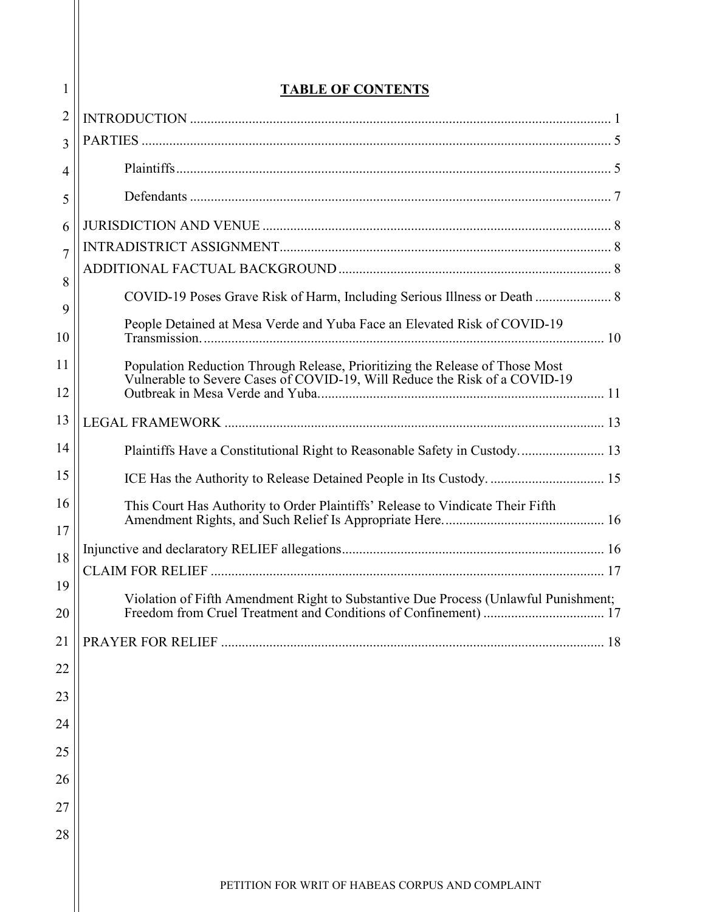| 1              | <b>TABLE OF CONTENTS</b>                                                            |  |  |
|----------------|-------------------------------------------------------------------------------------|--|--|
| $\overline{2}$ |                                                                                     |  |  |
| 3              |                                                                                     |  |  |
| 4              |                                                                                     |  |  |
| 5              |                                                                                     |  |  |
| 6              |                                                                                     |  |  |
| $\overline{7}$ |                                                                                     |  |  |
| 8              |                                                                                     |  |  |
| 9              |                                                                                     |  |  |
| 10             | People Detained at Mesa Verde and Yuba Face an Elevated Risk of COVID-19            |  |  |
| 11             | Population Reduction Through Release, Prioritizing the Release of Those Most        |  |  |
| 12             | Vulnerable to Severe Cases of COVID-19, Will Reduce the Risk of a COVID-19          |  |  |
| 13             |                                                                                     |  |  |
| 14             | Plaintiffs Have a Constitutional Right to Reasonable Safety in Custody 13           |  |  |
| 15             | ICE Has the Authority to Release Detained People in Its Custody.  15                |  |  |
| 16             | This Court Has Authority to Order Plaintiffs' Release to Vindicate Their Fifth      |  |  |
| 17             |                                                                                     |  |  |
| 18             |                                                                                     |  |  |
| 19             |                                                                                     |  |  |
| 20             | Violation of Fifth Amendment Right to Substantive Due Process (Unlawful Punishment; |  |  |
| 21             |                                                                                     |  |  |
| 22             |                                                                                     |  |  |
| 23             |                                                                                     |  |  |
| 24             |                                                                                     |  |  |
| 25             |                                                                                     |  |  |
| 26             |                                                                                     |  |  |
| 27             |                                                                                     |  |  |
| 28             |                                                                                     |  |  |
|                |                                                                                     |  |  |
|                | <b>DETITION EOD WDIT OF HADEAS CODDIIS AND COMBLAINT</b>                            |  |  |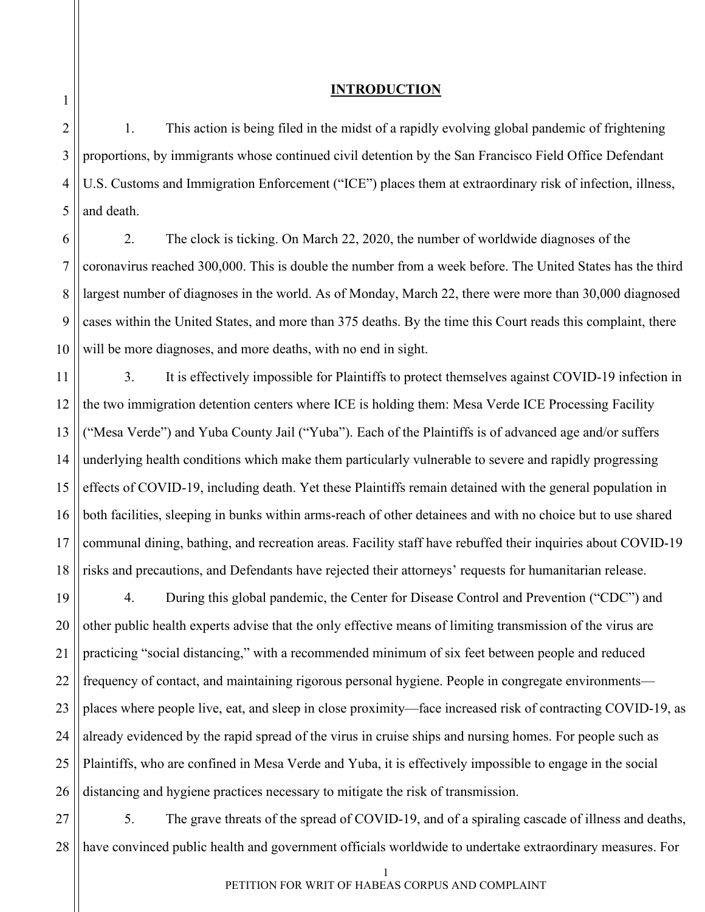#### **INTRODUCTION**

1. This action is being filed in the midst of a rapidly evolving global pandemic of frightening proportions, by immigrants whose continued civil detention by the San Francisco Field Office Defendant U.S. Customs and Immigration Enforcement ("ICE") places them at extraordinary risk of infection, illness, and death.

2. The clock is ticking. On March 22, 2020, the number of worldwide diagnoses of the coronavirus reached 300,000. This is double the number from a week before. The United States has the third largest number of diagnoses in the world. As of Monday, March 22, there were more than 30,000 diagnosed cases within the United States, and more than 375 deaths. By the time this Court reads this complaint, there will be more diagnoses, and more deaths, with no end in sight.

3. It is effectively impossible for Plaintiffs to protect themselves against COVID-19 infection in the two immigration detention centers where ICE is holding them: Mesa Verde ICE Processing Facility ("Mesa Verde") and Yuba County Jail ("Yuba"). Each of the Plaintiffs is of advanced age and/or suffers underlying health conditions which make them particularly vulnerable to severe and rapidly progressing effects of COVID-19, including death. Yet these Plaintiffs remain detained with the general population in both facilities, sleeping in bunks within arms-reach of other detainees and with no choice but to use shared communal dining, bathing, and recreation areas. Facility staff have rebuffed their inquiries about COVID-19 risks and precautions, and Defendants have rejected their attorneys' requests for humanitarian release.

21 22 23 24 25 26 4. During this global pandemic, the Center for Disease Control and Prevention ("CDC") and other public health experts advise that the only effective means of limiting transmission of the virus are practicing "social distancing," with a recommended minimum of six feet between people and reduced frequency of contact, and maintaining rigorous personal hygiene. People in congregate environments places where people live, eat, and sleep in close proximity—face increased risk of contracting COVID-19, as already evidenced by the rapid spread of the virus in cruise ships and nursing homes. For people such as Plaintiffs, who are confined in Mesa Verde and Yuba, it is effectively impossible to engage in the social distancing and hygiene practices necessary to mitigate the risk of transmission.

27 28 5. The grave threats of the spread of COVID-19, and of a spiraling cascade of illness and deaths, have convinced public health and government officials worldwide to undertake extraordinary measures. For

<span id="page-3-0"></span>1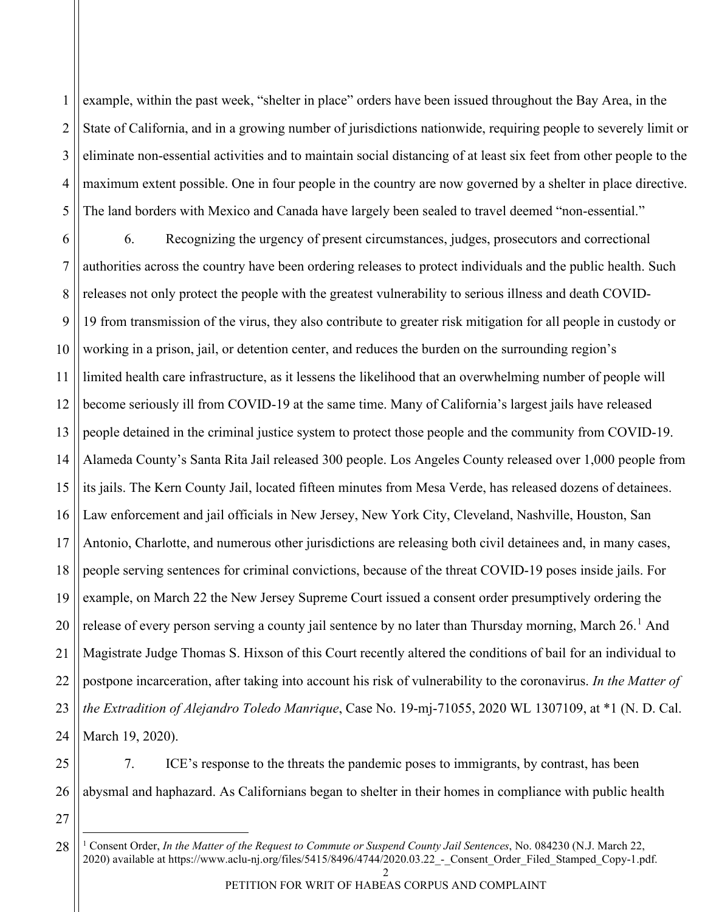1 2 3 4 5 example, within the past week, "shelter in place" orders have been issued throughout the Bay Area, in the State of California, and in a growing number of jurisdictions nationwide, requiring people to severely limit or eliminate non-essential activities and to maintain social distancing of at least six feet from other people to the maximum extent possible. One in four people in the country are now governed by a shelter in place directive. The land borders with Mexico and Canada have largely been sealed to travel deemed "non-essential."

6 7 8 9 10 11 12 13 14 15 16 17 18 19 20 21 22 23 24 6. Recognizing the urgency of present circumstances, judges, prosecutors and correctional authorities across the country have been ordering releases to protect individuals and the public health. Such releases not only protect the people with the greatest vulnerability to serious illness and death COVID-19 from transmission of the virus, they also contribute to greater risk mitigation for all people in custody or working in a prison, jail, or detention center, and reduces the burden on the surrounding region's limited health care infrastructure, as it lessens the likelihood that an overwhelming number of people will become seriously ill from COVID-19 at the same time. Many of California's largest jails have released people detained in the criminal justice system to protect those people and the community from COVID-19. Alameda County's Santa Rita Jail released 300 people. Los Angeles County released over 1,000 people from its jails. The Kern County Jail, located fifteen minutes from Mesa Verde, has released dozens of detainees. Law enforcement and jail officials in New Jersey, New York City, Cleveland, Nashville, Houston, San Antonio, Charlotte, and numerous other jurisdictions are releasing both civil detainees and, in many cases, people serving sentences for criminal convictions, because of the threat COVID-19 poses inside jails. For example, on March 22 the New Jersey Supreme Court issued a consent order presumptively ordering the release of every person serving a county jail sentence by no later than Thursday morning, March  $26<sup>1</sup>$  $26<sup>1</sup>$  $26<sup>1</sup>$  And Magistrate Judge Thomas S. Hixson of this Court recently altered the conditions of bail for an individual to postpone incarceration, after taking into account his risk of vulnerability to the coronavirus. *In the Matter of the Extradition of Alejandro Toledo Manrique*, Case No. 19-mj-71055, 2020 WL 1307109, at \*1 (N. D. Cal. March 19, 2020).

25 26 7. ICE's response to the threats the pandemic poses to immigrants, by contrast, has been abysmal and haphazard. As Californians began to shelter in their homes in compliance with public health

<span id="page-4-0"></span>27 28

<sup>1</sup> Consent Order, *In the Matter of the Request to Commute or Suspend County Jail Sentences*, No. 084230 (N.J. March 22, 2020) available at https://www.aclu-nj.org/files/5415/8496/4744/2020.03.22 - Consent\_Order\_Filed\_Stamped\_Copy-1.pdf.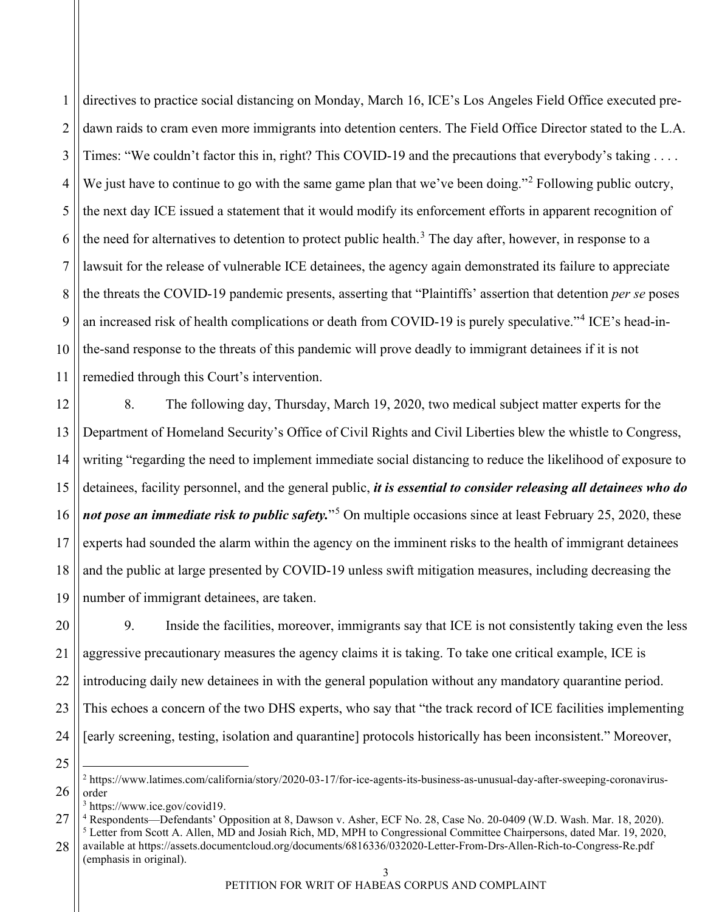1 2 3 4 5 6 7 8 9 10 11 directives to practice social distancing on Monday, March 16, ICE's Los Angeles Field Office executed predawn raids to cram even more immigrants into detention centers. The Field Office Director stated to the L.A. Times: "We couldn't factor this in, right? This COVID-19 and the precautions that everybody's taking . . . . We just have to continue to go with the same game plan that we've been doing."<sup>[2](#page-5-0)</sup> Following public outcry, the next day ICE issued a statement that it would modify its enforcement efforts in apparent recognition of the need for alternatives to detention to protect public health.<sup>[3](#page-5-1)</sup> The day after, however, in response to a lawsuit for the release of vulnerable ICE detainees, the agency again demonstrated its failure to appreciate the threats the COVID-19 pandemic presents, asserting that "Plaintiffs' assertion that detention *per se* poses an increased risk of health complications or death from COVID-19 is purely speculative."[4](#page-5-2) ICE's head-inthe-sand response to the threats of this pandemic will prove deadly to immigrant detainees if it is not remedied through this Court's intervention.

12 13 14 15 16 17 18 19 8. The following day, Thursday, March 19, 2020, two medical subject matter experts for the Department of Homeland Security's Office of Civil Rights and Civil Liberties blew the whistle to Congress, writing "regarding the need to implement immediate social distancing to reduce the likelihood of exposure to detainees, facility personnel, and the general public, *it is essential to consider releasing all detainees who do not pose an immediate risk to public safety.*"[5](#page-5-3) On multiple occasions since at least February 25, 2020, these experts had sounded the alarm within the agency on the imminent risks to the health of immigrant detainees and the public at large presented by COVID-19 unless swift mitigation measures, including decreasing the number of immigrant detainees, are taken.

20 21 22 23 24 9. Inside the facilities, moreover, immigrants say that ICE is not consistently taking even the less aggressive precautionary measures the agency claims it is taking. To take one critical example, ICE is introducing daily new detainees in with the general population without any mandatory quarantine period. This echoes a concern of the two DHS experts, who say that "the track record of ICE facilities implementing [early screening, testing, isolation and quarantine] protocols historically has been inconsistent." Moreover,

<sup>3</sup> https://www.ice.gov/covid19.

<sup>25</sup>

<span id="page-5-0"></span><sup>26</sup> <sup>2</sup> https://www.latimes.com/california/story/2020-03-17/for-ice-agents-its-business-as-unusual-day-after-sweeping-coronavirusorder

<span id="page-5-3"></span><span id="page-5-2"></span><span id="page-5-1"></span><sup>27</sup> <sup>4</sup> Respondents—Defendants' Opposition at 8, Dawson v. Asher, ECF No. 28, Case No. 20-0409 (W.D. Wash. Mar. 18, 2020). <sup>5</sup> Letter from Scott A. Allen, MD and Josiah Rich, MD, MPH to Congressional Committee Chairpersons, dated Mar. 19, 2020,

<sup>28</sup> available at<https://assets.documentcloud.org/documents/6816336/032020-Letter-From-Drs-Allen-Rich-to-Congress-Re.pdf> (emphasis in original).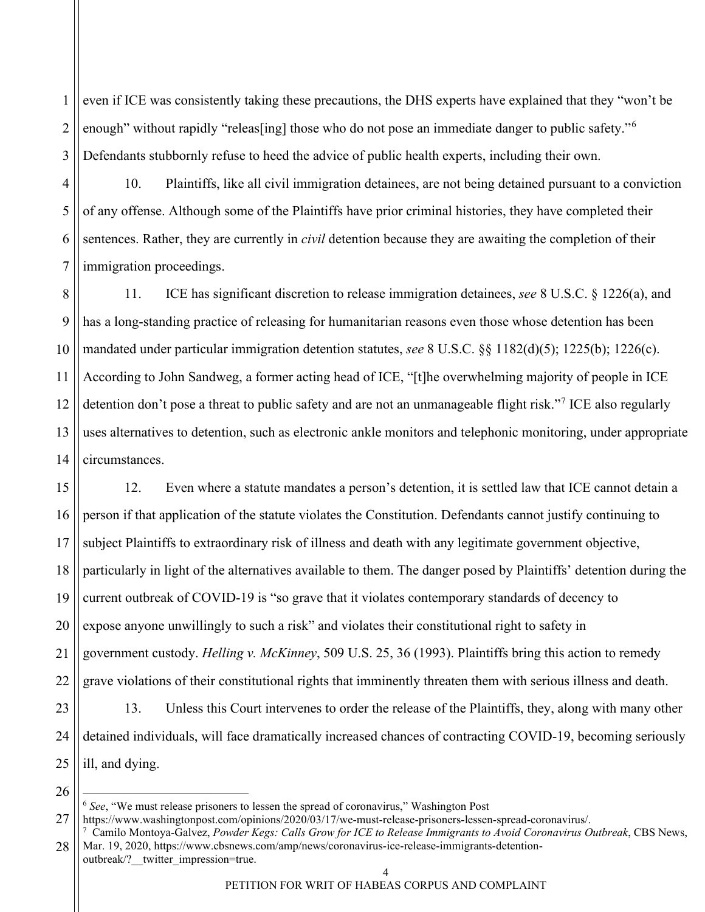1 2 3 even if ICE was consistently taking these precautions, the DHS experts have explained that they "won't be enough" without rapidly "releas [ing] those who do not pose an immediate danger to public safety."<sup>[6](#page-6-0)</sup> Defendants stubbornly refuse to heed the advice of public health experts, including their own.

4 5 6 7 10. Plaintiffs, like all civil immigration detainees, are not being detained pursuant to a conviction of any offense. Although some of the Plaintiffs have prior criminal histories, they have completed their sentences. Rather, they are currently in *civil* detention because they are awaiting the completion of their immigration proceedings.

8 9 10 11 12 13 14 11. ICE has significant discretion to release immigration detainees, *see* 8 U.S.C. § 1226(a), and has a long-standing practice of releasing for humanitarian reasons even those whose detention has been mandated under particular immigration detention statutes, *see* 8 U.S.C. §§ 1182(d)(5); 1225(b); 1226(c). According to John Sandweg, a former acting head of ICE, "[t]he overwhelming majority of people in ICE detention don't pose a threat to public safety and are not an unmanageable flight risk."<sup>[7](#page-6-1)</sup> ICE also regularly uses alternatives to detention, such as electronic ankle monitors and telephonic monitoring, under appropriate circumstances.

15 16 17 18 19 20 21 22 23 24 25 12. Even where a statute mandates a person's detention, it is settled law that ICE cannot detain a person if that application of the statute violates the Constitution. Defendants cannot justify continuing to subject Plaintiffs to extraordinary risk of illness and death with any legitimate government objective, particularly in light of the alternatives available to them. The danger posed by Plaintiffs' detention during the current outbreak of COVID-19 is "so grave that it violates contemporary standards of decency to expose anyone unwillingly to such a risk" and violates their constitutional right to safety in government custody. *Helling v. McKinney*, 509 U.S. 25, 36 (1993). Plaintiffs bring this action to remedy grave violations of their constitutional rights that imminently threaten them with serious illness and death. 13. Unless this Court intervenes to order the release of the Plaintiffs, they, along with many other detained individuals, will face dramatically increased chances of contracting COVID-19, becoming seriously ill, and dying.

<sup>6</sup> *See*, "We must release prisoners to lessen the spread of coronavirus," Washington Post

<span id="page-6-0"></span><sup>27</sup> https://www.washingtonpost.com/opinions/2020/03/17/we-must-release-prisoners-lessen-spread-coronavirus/.

<span id="page-6-1"></span><sup>28</sup> 7 Camilo Montoya-Galvez, *Powder Kegs: Calls Grow for ICE to Release Immigrants to Avoid Coronavirus Outbreak*, CBS News, Mar. 19, 2020[, https://www.cbsnews.com/amp/news/coronavirus-ice-release-immigrants-detention](https://www.cbsnews.com/amp/news/coronavirus-ice-release-immigrants-detention-outbreak/?__twitter_impression=true)outbreak/? twitter\_impression=true.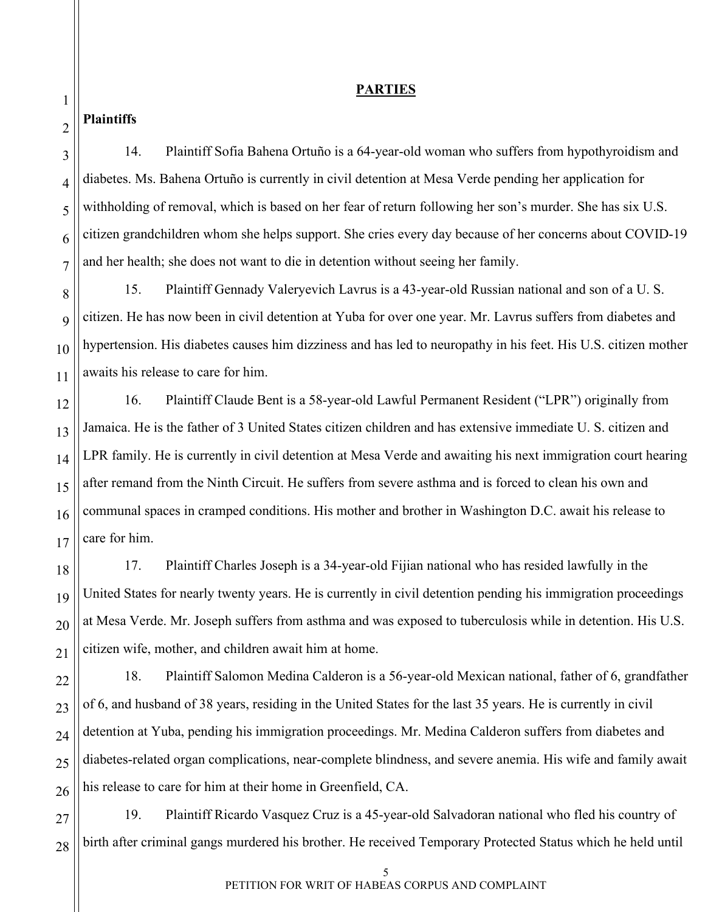#### **PARTIES**

## <span id="page-7-1"></span><span id="page-7-0"></span>**Plaintiffs**

14. Plaintiff Sofia Bahena Ortuño is a 64-year-old woman who suffers from hypothyroidism and diabetes. Ms. Bahena Ortuño is currently in civil detention at Mesa Verde pending her application for withholding of removal, which is based on her fear of return following her son's murder. She has six U.S. citizen grandchildren whom she helps support. She cries every day because of her concerns about COVID-19 and her health; she does not want to die in detention without seeing her family.

15. Plaintiff Gennady Valeryevich Lavrus is a 43-year-old Russian national and son of a U. S. citizen. He has now been in civil detention at Yuba for over one year. Mr. Lavrus suffers from diabetes and hypertension. His diabetes causes him dizziness and has led to neuropathy in his feet. His U.S. citizen mother awaits his release to care for him.

16. Plaintiff Claude Bent is a 58-year-old Lawful Permanent Resident ("LPR") originally from Jamaica. He is the father of 3 United States citizen children and has extensive immediate U. S. citizen and LPR family. He is currently in civil detention at Mesa Verde and awaiting his next immigration court hearing after remand from the Ninth Circuit. He suffers from severe asthma and is forced to clean his own and communal spaces in cramped conditions. His mother and brother in Washington D.C. await his release to care for him.

17. Plaintiff Charles Joseph is a 34-year-old Fijian national who has resided lawfully in the United States for nearly twenty years. He is currently in civil detention pending his immigration proceedings at Mesa Verde. Mr. Joseph suffers from asthma and was exposed to tuberculosis while in detention. His U.S. citizen wife, mother, and children await him at home.

18. Plaintiff Salomon Medina Calderon is a 56-year-old Mexican national, father of 6, grandfather of 6, and husband of 38 years, residing in the United States for the last 35 years. He is currently in civil detention at Yuba, pending his immigration proceedings. Mr. Medina Calderon suffers from diabetes and diabetes-related organ complications, near-complete blindness, and severe anemia. His wife and family await his release to care for him at their home in Greenfield, CA.

19. Plaintiff Ricardo Vasquez Cruz is a 45-year-old Salvadoran national who fled his country of birth after criminal gangs murdered his brother. He received Temporary Protected Status which he held until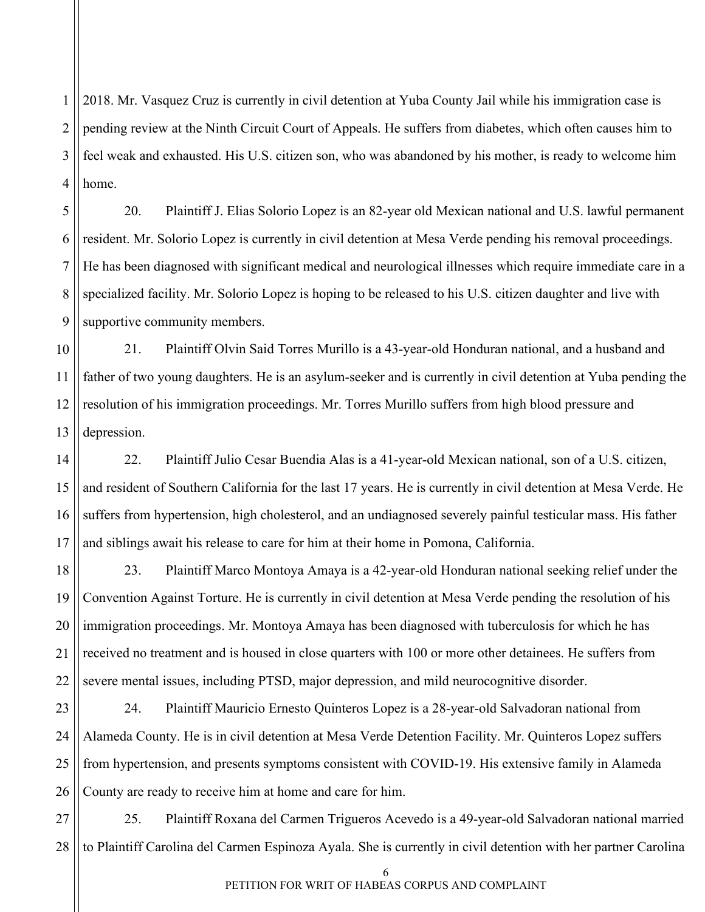1 2 3 4 2018. Mr. Vasquez Cruz is currently in civil detention at Yuba County Jail while his immigration case is pending review at the Ninth Circuit Court of Appeals. He suffers from diabetes, which often causes him to feel weak and exhausted. His U.S. citizen son, who was abandoned by his mother, is ready to welcome him home.

5

6

7

8

9

20. Plaintiff J. Elias Solorio Lopez is an 82-year old Mexican national and U.S. lawful permanent resident. Mr. Solorio Lopez is currently in civil detention at Mesa Verde pending his removal proceedings. He has been diagnosed with significant medical and neurological illnesses which require immediate care in a specialized facility. Mr. Solorio Lopez is hoping to be released to his U.S. citizen daughter and live with supportive community members.

10 11 12 13 21. Plaintiff Olvin Said Torres Murillo is a 43-year-old Honduran national, and a husband and father of two young daughters. He is an asylum-seeker and is currently in civil detention at Yuba pending the resolution of his immigration proceedings. Mr. Torres Murillo suffers from high blood pressure and depression.

14 15 16 17 22. Plaintiff Julio Cesar Buendia Alas is a 41-year-old Mexican national, son of a U.S. citizen, and resident of Southern California for the last 17 years. He is currently in civil detention at Mesa Verde. He suffers from hypertension, high cholesterol, and an undiagnosed severely painful testicular mass. His father and siblings await his release to care for him at their home in Pomona, California.

18 19 20 21 22 23. Plaintiff Marco Montoya Amaya is a 42-year-old Honduran national seeking relief under the Convention Against Torture. He is currently in civil detention at Mesa Verde pending the resolution of his immigration proceedings. Mr. Montoya Amaya has been diagnosed with tuberculosis for which he has received no treatment and is housed in close quarters with 100 or more other detainees. He suffers from severe mental issues, including PTSD, major depression, and mild neurocognitive disorder.

23 24 25 26 24. Plaintiff Mauricio Ernesto Quinteros Lopez is a 28-year-old Salvadoran national from Alameda County. He is in civil detention at Mesa Verde Detention Facility. Mr. Quinteros Lopez suffers from hypertension, and presents symptoms consistent with COVID-19. His extensive family in Alameda County are ready to receive him at home and care for him.

27 28 25. Plaintiff Roxana del Carmen Trigueros Acevedo is a 49-year-old Salvadoran national married to Plaintiff Carolina del Carmen Espinoza Ayala. She is currently in civil detention with her partner Carolina

6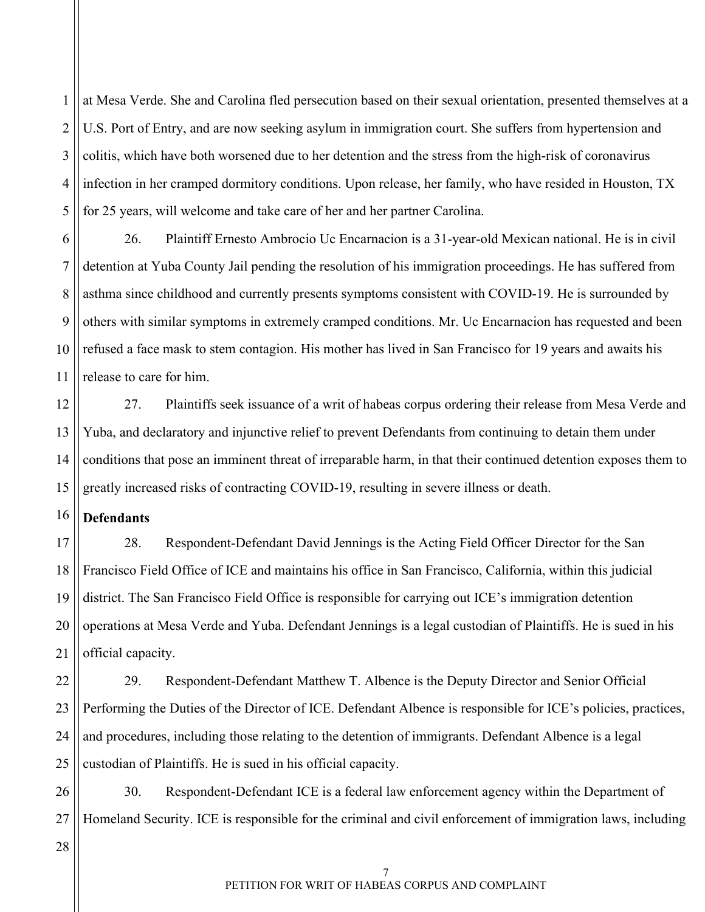1 2 3 4 5 at Mesa Verde. She and Carolina fled persecution based on their sexual orientation, presented themselves at a U.S. Port of Entry, and are now seeking asylum in immigration court. She suffers from hypertension and colitis, which have both worsened due to her detention and the stress from the high-risk of coronavirus infection in her cramped dormitory conditions. Upon release, her family, who have resided in Houston, TX for 25 years, will welcome and take care of her and her partner Carolina.

6 7 8 9 10 11 26. Plaintiff Ernesto Ambrocio Uc Encarnacion is a 31-year-old Mexican national. He is in civil detention at Yuba County Jail pending the resolution of his immigration proceedings. He has suffered from asthma since childhood and currently presents symptoms consistent with COVID-19. He is surrounded by others with similar symptoms in extremely cramped conditions. Mr. Uc Encarnacion has requested and been refused a face mask to stem contagion. His mother has lived in San Francisco for 19 years and awaits his release to care for him.

12 13 14 15 27. Plaintiffs seek issuance of a writ of habeas corpus ordering their release from Mesa Verde and Yuba, and declaratory and injunctive relief to prevent Defendants from continuing to detain them under conditions that pose an imminent threat of irreparable harm, in that their continued detention exposes them to greatly increased risks of contracting COVID-19, resulting in severe illness or death.

<span id="page-9-0"></span>16 **Defendants**

17 18 19 20 21 28. Respondent-Defendant David Jennings is the Acting Field Officer Director for the San Francisco Field Office of ICE and maintains his office in San Francisco, California, within this judicial district. The San Francisco Field Office is responsible for carrying out ICE's immigration detention operations at Mesa Verde and Yuba. Defendant Jennings is a legal custodian of Plaintiffs. He is sued in his official capacity.

22 23 24 25 29. Respondent-Defendant Matthew T. Albence is the Deputy Director and Senior Official Performing the Duties of the Director of ICE. Defendant Albence is responsible for ICE's policies, practices, and procedures, including those relating to the detention of immigrants. Defendant Albence is a legal custodian of Plaintiffs. He is sued in his official capacity.

26 27 30. Respondent-Defendant ICE is a federal law enforcement agency within the Department of Homeland Security. ICE is responsible for the criminal and civil enforcement of immigration laws, including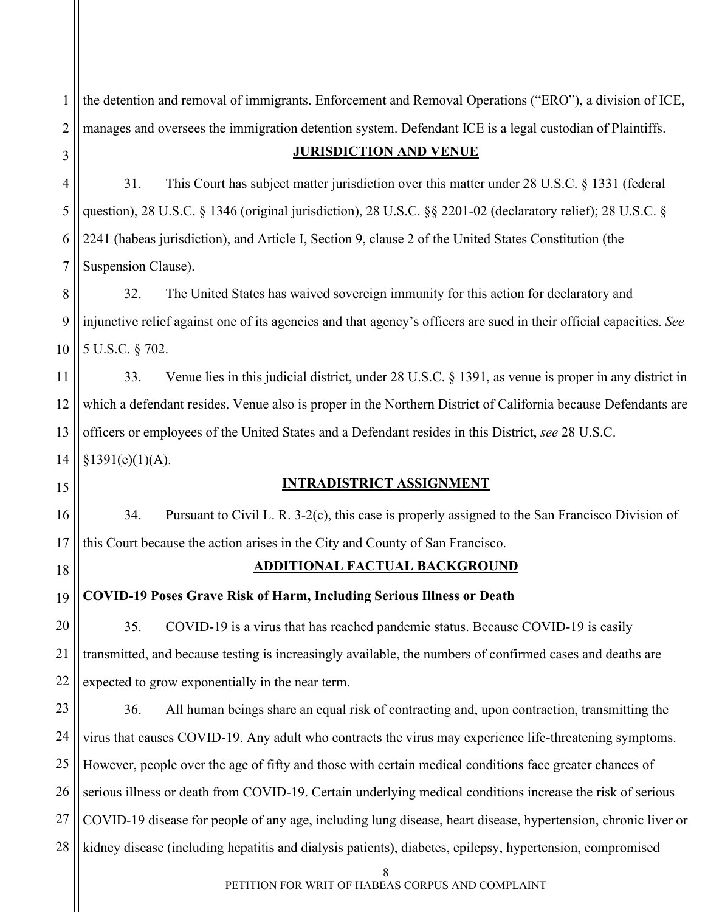1 2 3 the detention and removal of immigrants. Enforcement and Removal Operations ("ERO"), a division of ICE, manages and oversees the immigration detention system. Defendant ICE is a legal custodian of Plaintiffs. **JURISDICTION AND VENUE**

<span id="page-10-0"></span>4 5 6 7 31. This Court has subject matter jurisdiction over this matter under 28 U.S.C. § 1331 (federal question), 28 U.S.C. § 1346 (original jurisdiction), 28 U.S.C. §§ 2201-02 (declaratory relief); 28 U.S.C. § 2241 (habeas jurisdiction), and Article I, Section 9, clause 2 of the United States Constitution (the Suspension Clause).

8 9 10 32. The United States has waived sovereign immunity for this action for declaratory and injunctive relief against one of its agencies and that agency's officers are sued in their official capacities. *See*  5 U.S.C. § 702.

11 12 13 14 33. Venue lies in this judicial district, under 28 U.S.C. § 1391, as venue is proper in any district in which a defendant resides. Venue also is proper in the Northern District of California because Defendants are officers or employees of the United States and a Defendant resides in this District, *see* 28 U.S.C.  $§1391(e)(1)(A).$ 

## **INTRADISTRICT ASSIGNMENT**

34. Pursuant to Civil L. R. 3-2(c), this case is properly assigned to the San Francisco Division of this Court because the action arises in the City and County of San Francisco.

<span id="page-10-2"></span>18

21

<span id="page-10-1"></span>15

16

17

# **ADDITIONAL FACTUAL BACKGROUND**

<span id="page-10-3"></span>19 **COVID-19 Poses Grave Risk of Harm, Including Serious Illness or Death**

20 22 35. COVID-19 is a virus that has reached pandemic status. Because COVID-19 is easily transmitted, and because testing is increasingly available, the numbers of confirmed cases and deaths are expected to grow exponentially in the near term.

23 24 25 26 27 28 36. All human beings share an equal risk of contracting and, upon contraction, transmitting the virus that causes COVID-19. Any adult who contracts the virus may experience life-threatening symptoms. However, people over the age of fifty and those with certain medical conditions face greater chances of serious illness or death from COVID-19. Certain underlying medical conditions increase the risk of serious COVID-19 disease for people of any age, including lung disease, heart disease, hypertension, chronic liver or kidney disease (including hepatitis and dialysis patients), diabetes, epilepsy, hypertension, compromised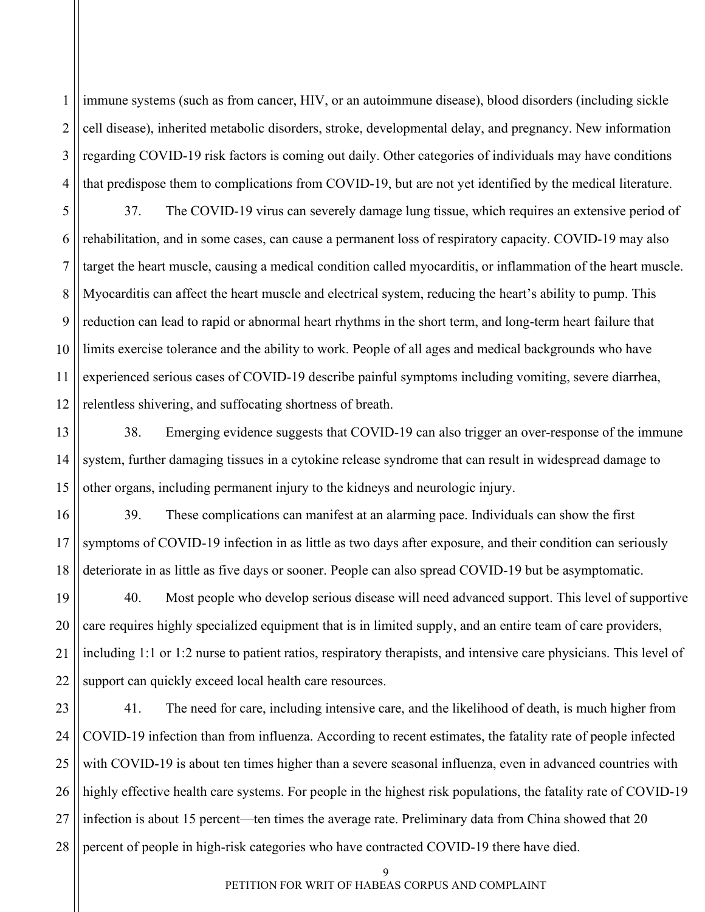1 2 3 4 immune systems (such as from cancer, HIV, or an autoimmune disease), blood disorders (including sickle cell disease), inherited metabolic disorders, stroke, developmental delay, and pregnancy. New information regarding COVID-19 risk factors is coming out daily. Other categories of individuals may have conditions that predispose them to complications from COVID-19, but are not yet identified by the medical literature.

5 6 7 8 9 10 11 12 37. The COVID-19 virus can severely damage lung tissue, which requires an extensive period of rehabilitation, and in some cases, can cause a permanent loss of respiratory capacity. COVID-19 may also target the heart muscle, causing a medical condition called myocarditis, or inflammation of the heart muscle. Myocarditis can affect the heart muscle and electrical system, reducing the heart's ability to pump. This reduction can lead to rapid or abnormal heart rhythms in the short term, and long-term heart failure that limits exercise tolerance and the ability to work. People of all ages and medical backgrounds who have experienced serious cases of COVID-19 describe painful symptoms including vomiting, severe diarrhea, relentless shivering, and suffocating shortness of breath.

38. Emerging evidence suggests that COVID-19 can also trigger an over-response of the immune system, further damaging tissues in a cytokine release syndrome that can result in widespread damage to other organs, including permanent injury to the kidneys and neurologic injury.

13

14

15

16 17 18 39. These complications can manifest at an alarming pace. Individuals can show the first symptoms of COVID-19 infection in as little as two days after exposure, and their condition can seriously deteriorate in as little as five days or sooner. People can also spread COVID-19 but be asymptomatic.

19 20 21 22 40. Most people who develop serious disease will need advanced support. This level of supportive care requires highly specialized equipment that is in limited supply, and an entire team of care providers, including 1:1 or 1:2 nurse to patient ratios, respiratory therapists, and intensive care physicians. This level of support can quickly exceed local health care resources.

23 24 25 26 27 28 41. The need for care, including intensive care, and the likelihood of death, is much higher from COVID-19 infection than from influenza. According to recent estimates, the fatality rate of people infected with COVID-19 is about ten times higher than a severe seasonal influenza, even in advanced countries with highly effective health care systems. For people in the highest risk populations, the fatality rate of COVID-19 infection is about 15 percent—ten times the average rate. Preliminary data from China showed that 20 percent of people in high-risk categories who have contracted COVID-19 there have died.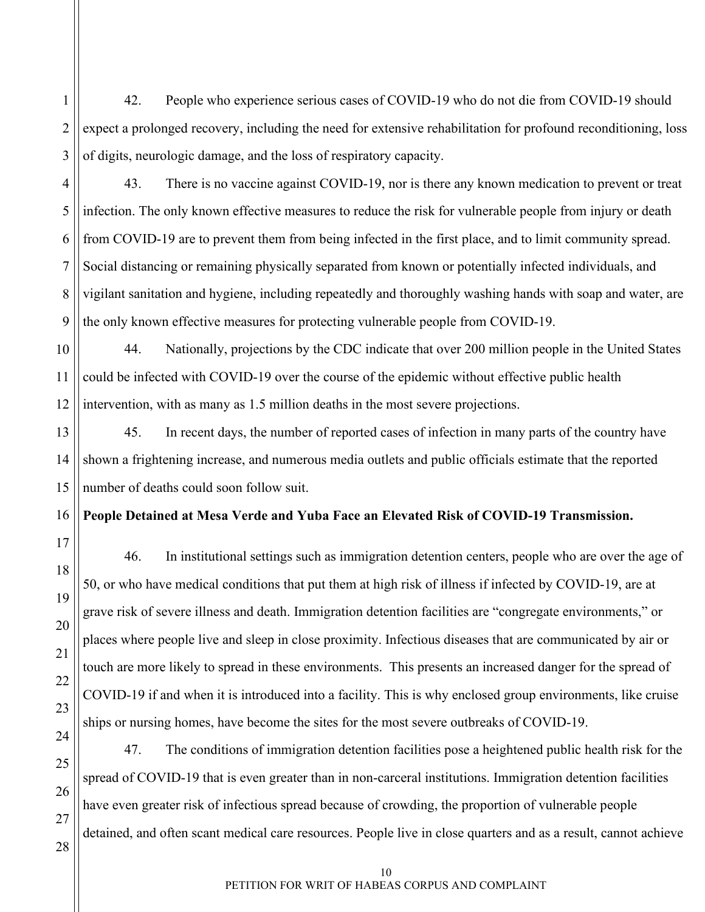2 3 42. People who experience serious cases of COVID-19 who do not die from COVID-19 should expect a prolonged recovery, including the need for extensive rehabilitation for profound reconditioning, loss of digits, neurologic damage, and the loss of respiratory capacity.

43. There is no vaccine against COVID-19, nor is there any known medication to prevent or treat infection. The only known effective measures to reduce the risk for vulnerable people from injury or death from COVID-19 are to prevent them from being infected in the first place, and to limit community spread. Social distancing or remaining physically separated from known or potentially infected individuals, and vigilant sanitation and hygiene, including repeatedly and thoroughly washing hands with soap and water, are the only known effective measures for protecting vulnerable people from COVID-19.

44. Nationally, projections by the CDC indicate that over 200 million people in the United States could be infected with COVID-19 over the course of the epidemic without effective public health intervention, with as many as 1.5 million deaths in the most severe projections.

45. In recent days, the number of reported cases of infection in many parts of the country have shown a frightening increase, and numerous media outlets and public officials estimate that the reported number of deaths could soon follow suit.

## <span id="page-12-0"></span>**People Detained at Mesa Verde and Yuba Face an Elevated Risk of COVID-19 Transmission.**

46. In institutional settings such as immigration detention centers, people who are over the age of 50, or who have medical conditions that put them at high risk of illness if infected by COVID-19, are at grave risk of severe illness and death. Immigration detention facilities are "congregate environments," or places where people live and sleep in close proximity. Infectious diseases that are communicated by air or touch are more likely to spread in these environments. This presents an increased danger for the spread of COVID-19 if and when it is introduced into a facility. This is why enclosed group environments, like cruise ships or nursing homes, have become the sites for the most severe outbreaks of COVID-19.

47. The conditions of immigration detention facilities pose a heightened public health risk for the spread of COVID-19 that is even greater than in non-carceral institutions. Immigration detention facilities have even greater risk of infectious spread because of crowding, the proportion of vulnerable people detained, and often scant medical care resources. People live in close quarters and as a result, cannot achieve

1

4

5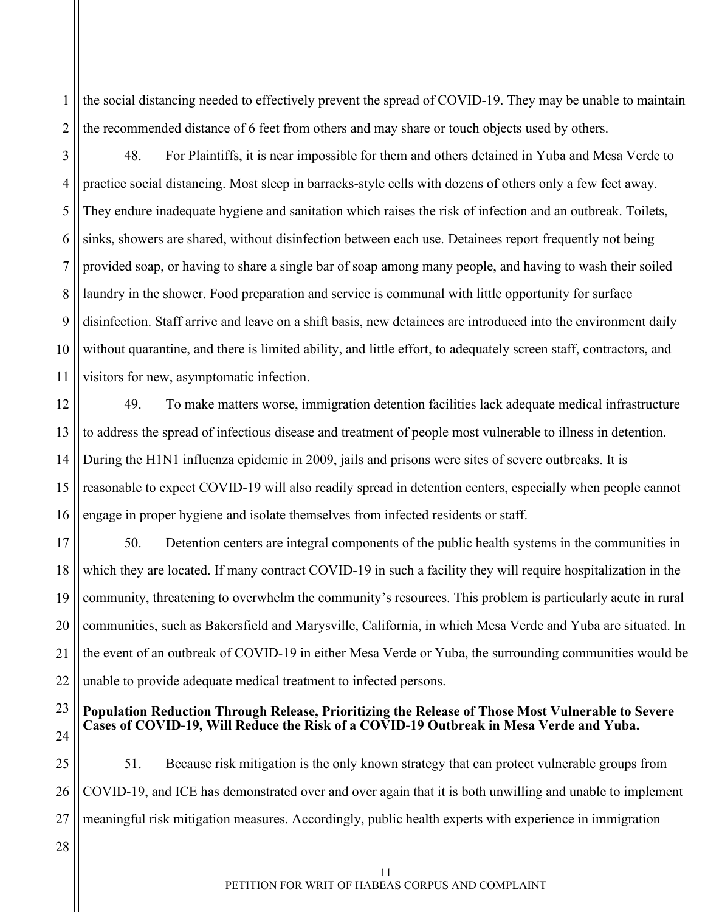1 2 the social distancing needed to effectively prevent the spread of COVID-19. They may be unable to maintain the recommended distance of 6 feet from others and may share or touch objects used by others.

3

4

5

6

7

8

9

10

11

48. For Plaintiffs, it is near impossible for them and others detained in Yuba and Mesa Verde to practice social distancing. Most sleep in barracks-style cells with dozens of others only a few feet away. They endure inadequate hygiene and sanitation which raises the risk of infection and an outbreak. Toilets, sinks, showers are shared, without disinfection between each use. Detainees report frequently not being provided soap, or having to share a single bar of soap among many people, and having to wash their soiled laundry in the shower. Food preparation and service is communal with little opportunity for surface disinfection. Staff arrive and leave on a shift basis, new detainees are introduced into the environment daily without quarantine, and there is limited ability, and little effort, to adequately screen staff, contractors, and visitors for new, asymptomatic infection.

12 13 14 15 16 49. To make matters worse, immigration detention facilities lack adequate medical infrastructure to address the spread of infectious disease and treatment of people most vulnerable to illness in detention. During the H1N1 influenza epidemic in 2009, jails and prisons were sites of severe outbreaks. It is reasonable to expect COVID-19 will also readily spread in detention centers, especially when people cannot engage in proper hygiene and isolate themselves from infected residents or staff.

17 18 19 20 21 22 50. Detention centers are integral components of the public health systems in the communities in which they are located. If many contract COVID-19 in such a facility they will require hospitalization in the community, threatening to overwhelm the community's resources. This problem is particularly acute in rural communities, such as Bakersfield and Marysville, California, in which Mesa Verde and Yuba are situated. In the event of an outbreak of COVID-19 in either Mesa Verde or Yuba, the surrounding communities would be unable to provide adequate medical treatment to infected persons.

#### <span id="page-13-0"></span>23 24 **Population Reduction Through Release, Prioritizing the Release of Those Most Vulnerable to Severe Cases of COVID-19, Will Reduce the Risk of a COVID-19 Outbreak in Mesa Verde and Yuba.**

25 26 27 51. Because risk mitigation is the only known strategy that can protect vulnerable groups from COVID-19, and ICE has demonstrated over and over again that it is both unwilling and unable to implement meaningful risk mitigation measures. Accordingly, public health experts with experience in immigration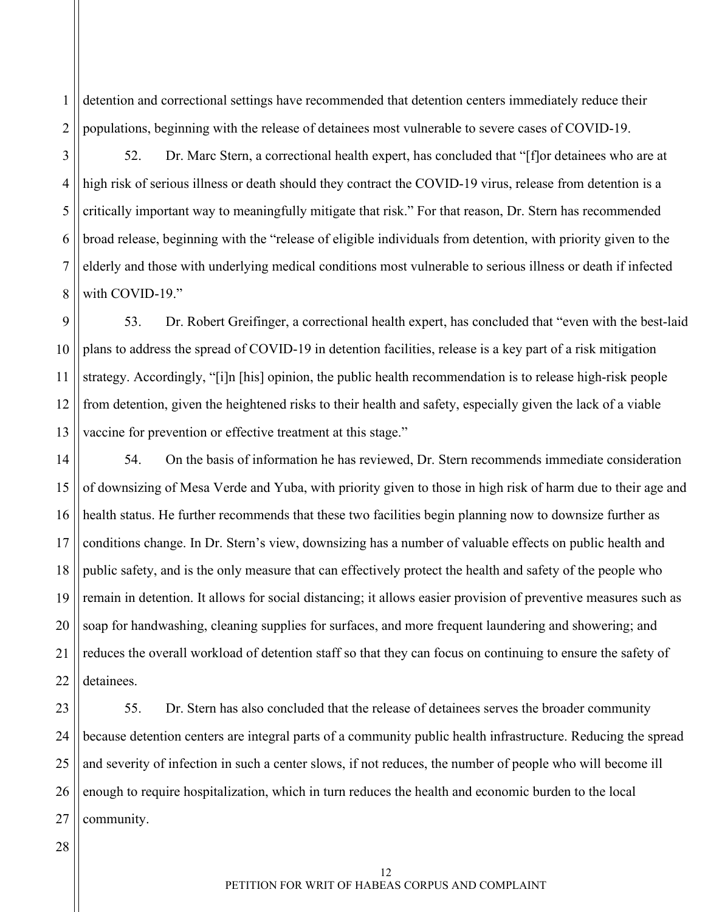2 detention and correctional settings have recommended that detention centers immediately reduce their populations, beginning with the release of detainees most vulnerable to severe cases of COVID-19.

3

4

5

6

7

8

1

52. Dr. Marc Stern, a correctional health expert, has concluded that "[f]or detainees who are at high risk of serious illness or death should they contract the COVID-19 virus, release from detention is a critically important way to meaningfully mitigate that risk." For that reason, Dr. Stern has recommended broad release, beginning with the "release of eligible individuals from detention, with priority given to the elderly and those with underlying medical conditions most vulnerable to serious illness or death if infected with COVID-19."

9 10 11 12 13 53. Dr. Robert Greifinger, a correctional health expert, has concluded that "even with the best-laid plans to address the spread of COVID-19 in detention facilities, release is a key part of a risk mitigation strategy. Accordingly, "[i]n [his] opinion, the public health recommendation is to release high-risk people from detention, given the heightened risks to their health and safety, especially given the lack of a viable vaccine for prevention or effective treatment at this stage."

14 15 16 17 18 19 20 21 22 54. On the basis of information he has reviewed, Dr. Stern recommends immediate consideration of downsizing of Mesa Verde and Yuba, with priority given to those in high risk of harm due to their age and health status. He further recommends that these two facilities begin planning now to downsize further as conditions change. In Dr. Stern's view, downsizing has a number of valuable effects on public health and public safety, and is the only measure that can effectively protect the health and safety of the people who remain in detention. It allows for social distancing; it allows easier provision of preventive measures such as soap for handwashing, cleaning supplies for surfaces, and more frequent laundering and showering; and reduces the overall workload of detention staff so that they can focus on continuing to ensure the safety of detainees.

23 24 25 26 27 55. Dr. Stern has also concluded that the release of detainees serves the broader community because detention centers are integral parts of a community public health infrastructure. Reducing the spread and severity of infection in such a center slows, if not reduces, the number of people who will become ill enough to require hospitalization, which in turn reduces the health and economic burden to the local community.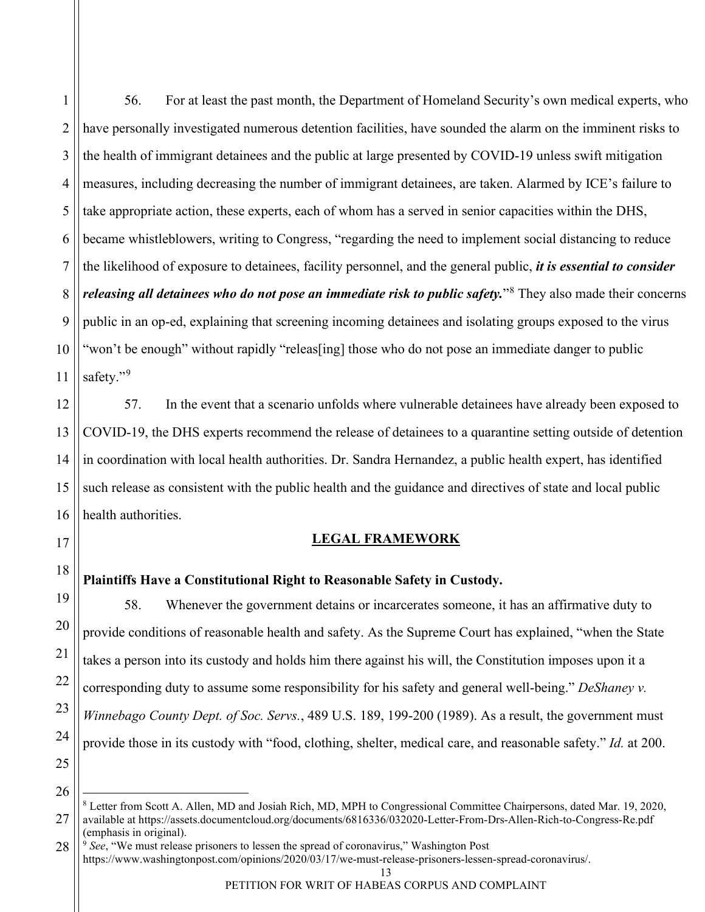1

2 3 4 5 56. For at least the past month, the Department of Homeland Security's own medical experts, who have personally investigated numerous detention facilities, have sounded the alarm on the imminent risks to the health of immigrant detainees and the public at large presented by COVID-19 unless swift mitigation measures, including decreasing the number of immigrant detainees, are taken. Alarmed by ICE's failure to take appropriate action, these experts, each of whom has a served in senior capacities within the DHS, became whistleblowers, writing to Congress, "regarding the need to implement social distancing to reduce the likelihood of exposure to detainees, facility personnel, and the general public, *it is essential to consider releasing all detainees who do not pose an immediate risk to public safety.*<sup>[8](#page-15-2)</sup> They also made their concerns public in an op-ed, explaining that screening incoming detainees and isolating groups exposed to the virus "won't be enough" without rapidly "releas[ing] those who do not pose an immediate danger to public safety."[9](#page-15-3)

57. In the event that a scenario unfolds where vulnerable detainees have already been exposed to COVID-19, the DHS experts recommend the release of detainees to a quarantine setting outside of detention in coordination with local health authorities. Dr. Sandra Hernandez, a public health expert, has identified such release as consistent with the public health and the guidance and directives of state and local public health authorities.

### **LEGAL FRAMEWORK**

### <span id="page-15-1"></span><span id="page-15-0"></span>**Plaintiffs Have a Constitutional Right to Reasonable Safety in Custody.**

58. Whenever the government detains or incarcerates someone, it has an affirmative duty to provide conditions of reasonable health and safety. As the Supreme Court has explained, "when the State takes a person into its custody and holds him there against his will, the Constitution imposes upon it a corresponding duty to assume some responsibility for his safety and general well-being." *DeShaney v. Winnebago County Dept. of Soc. Servs.*, 489 U.S. 189, 199-200 (1989). As a result, the government must provide those in its custody with "food, clothing, shelter, medical care, and reasonable safety." *Id.* at 200.

<span id="page-15-2"></span><sup>8</sup> Letter from Scott A. Allen, MD and Josiah Rich, MD, MPH to Congressional Committee Chairpersons, dated Mar. 19, 2020, available at<https://assets.documentcloud.org/documents/6816336/032020-Letter-From-Drs-Allen-Rich-to-Congress-Re.pdf> (emphasis in original).

<span id="page-15-3"></span><sup>9</sup> *See*, "We must release prisoners to lessen the spread of coronavirus," Washington Post https://www.washingtonpost.com/opinions/2020/03/17/we-must-release-prisoners-lessen-spread-coronavirus/.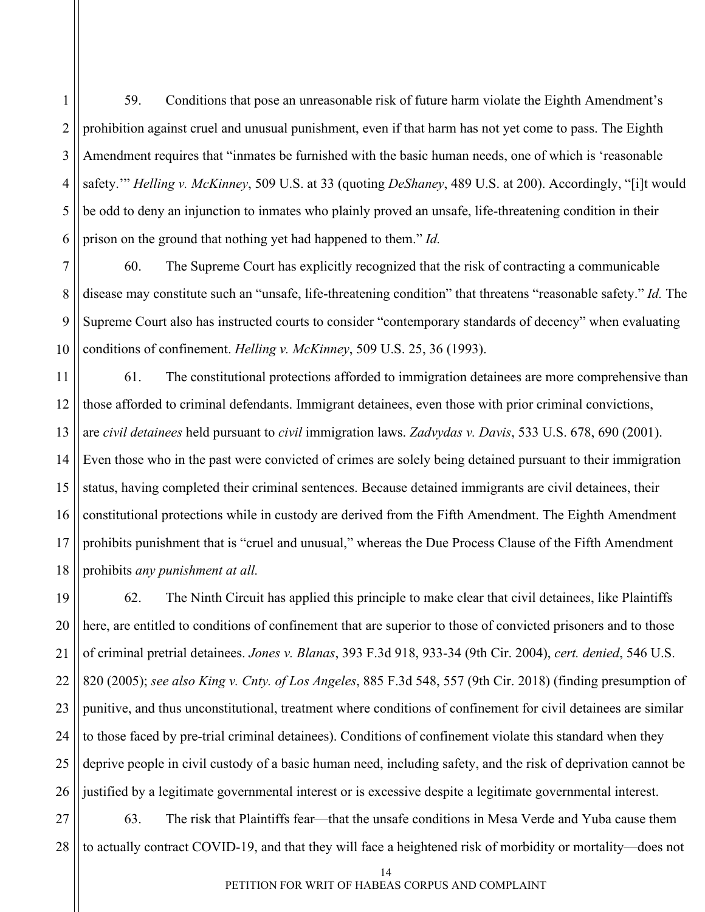1 2 3 4 5 6 59. Conditions that pose an unreasonable risk of future harm violate the Eighth Amendment's prohibition against cruel and unusual punishment, even if that harm has not yet come to pass. The Eighth Amendment requires that "inmates be furnished with the basic human needs, one of which is 'reasonable safety.'" *Helling v. McKinney*, 509 U.S. at 33 (quoting *DeShaney*, 489 U.S. at 200). Accordingly, "[i]t would be odd to deny an injunction to inmates who plainly proved an unsafe, life-threatening condition in their prison on the ground that nothing yet had happened to them." *Id.*

7 8 9 10 60. The Supreme Court has explicitly recognized that the risk of contracting a communicable disease may constitute such an "unsafe, life-threatening condition" that threatens "reasonable safety." *Id.* The Supreme Court also has instructed courts to consider "contemporary standards of decency" when evaluating conditions of confinement. *Helling v. McKinney*, 509 U.S. 25, 36 (1993).

11 12 13 14 15 16 17 18 61. The constitutional protections afforded to immigration detainees are more comprehensive than those afforded to criminal defendants. Immigrant detainees, even those with prior criminal convictions, are *civil detainees* held pursuant to *civil* immigration laws. *Zadvydas v. Davis*, 533 U.S. 678, 690 (2001). Even those who in the past were convicted of crimes are solely being detained pursuant to their immigration status, having completed their criminal sentences. Because detained immigrants are civil detainees, their constitutional protections while in custody are derived from the Fifth Amendment. The Eighth Amendment prohibits punishment that is "cruel and unusual," whereas the Due Process Clause of the Fifth Amendment prohibits *any punishment at all.* 

19 20 21 22 23 24 25 26 62. The Ninth Circuit has applied this principle to make clear that civil detainees, like Plaintiffs here, are entitled to conditions of confinement that are superior to those of convicted prisoners and to those of criminal pretrial detainees. *Jones v. Blanas*, 393 F.3d 918, 933-34 (9th Cir. 2004), *cert. denied*, 546 U.S. 820 (2005); *see also King v. Cnty. of Los Angeles*, 885 F.3d 548, 557 (9th Cir. 2018) (finding presumption of punitive, and thus unconstitutional, treatment where conditions of confinement for civil detainees are similar to those faced by pre-trial criminal detainees). Conditions of confinement violate this standard when they deprive people in civil custody of a basic human need, including safety, and the risk of deprivation cannot be justified by a legitimate governmental interest or is excessive despite a legitimate governmental interest.

27 28 63. The risk that Plaintiffs fear—that the unsafe conditions in Mesa Verde and Yuba cause them to actually contract COVID-19, and that they will face a heightened risk of morbidity or mortality—does not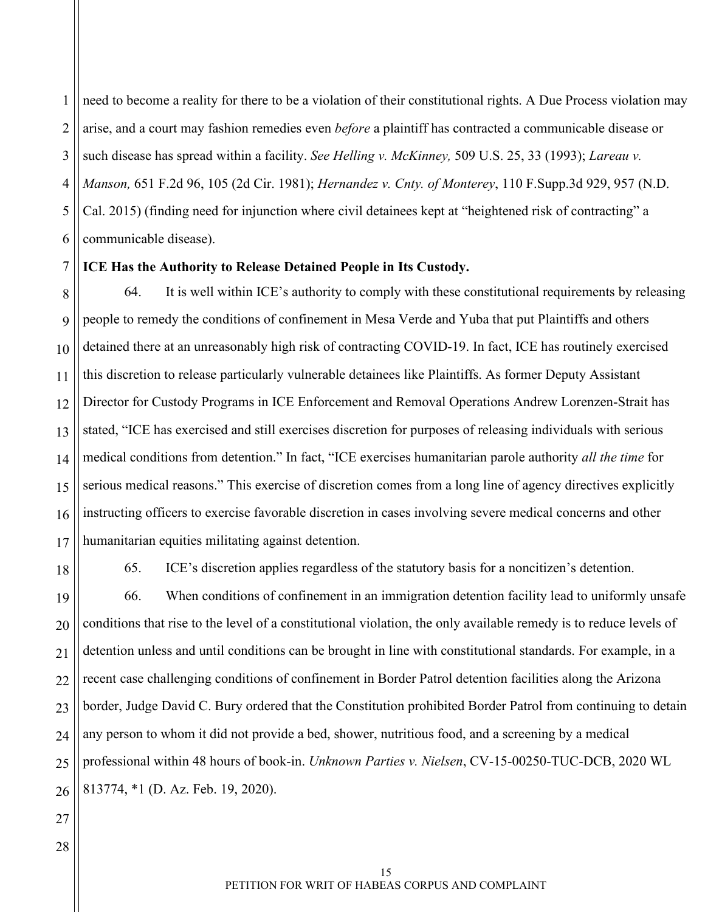1 2 3 4 5 6 need to become a reality for there to be a violation of their constitutional rights. A Due Process violation may arise, and a court may fashion remedies even *before* a plaintiff has contracted a communicable disease or such disease has spread within a facility. *See Helling v. McKinney,* 509 U.S. 25, 33 (1993); *Lareau v. Manson,* 651 F.2d 96, 105 (2d Cir. 1981); *Hernandez v. Cnty. of Monterey*, 110 F.Supp.3d 929, 957 (N.D. Cal. 2015) (finding need for injunction where civil detainees kept at "heightened risk of contracting" a communicable disease).

#### <span id="page-17-0"></span>7 **ICE Has the Authority to Release Detained People in Its Custody.**

8 9 10 11 12 13 14 15 16 17 64. It is well within ICE's authority to comply with these constitutional requirements by releasing people to remedy the conditions of confinement in Mesa Verde and Yuba that put Plaintiffs and others detained there at an unreasonably high risk of contracting COVID-19. In fact, ICE has routinely exercised this discretion to release particularly vulnerable detainees like Plaintiffs. As former Deputy Assistant Director for Custody Programs in ICE Enforcement and Removal Operations Andrew Lorenzen-Strait has stated, "ICE has exercised and still exercises discretion for purposes of releasing individuals with serious medical conditions from detention." In fact, "ICE exercises humanitarian parole authority *all the time* for serious medical reasons." This exercise of discretion comes from a long line of agency directives explicitly instructing officers to exercise favorable discretion in cases involving severe medical concerns and other humanitarian equities militating against detention.

18

65. ICE's discretion applies regardless of the statutory basis for a noncitizen's detention.

19 20 21 22 23 24 25 26 66. When conditions of confinement in an immigration detention facility lead to uniformly unsafe conditions that rise to the level of a constitutional violation, the only available remedy is to reduce levels of detention unless and until conditions can be brought in line with constitutional standards. For example, in a recent case challenging conditions of confinement in Border Patrol detention facilities along the Arizona border, Judge David C. Bury ordered that the Constitution prohibited Border Patrol from continuing to detain any person to whom it did not provide a bed, shower, nutritious food, and a screening by a medical professional within 48 hours of book-in. *Unknown Parties v. Nielsen*, CV-15-00250-TUC-DCB, 2020 WL 813774, \*1 (D. Az. Feb. 19, 2020).

28

15 PETITION FOR WRIT OF HABEAS CORPUS AND COMPLAINT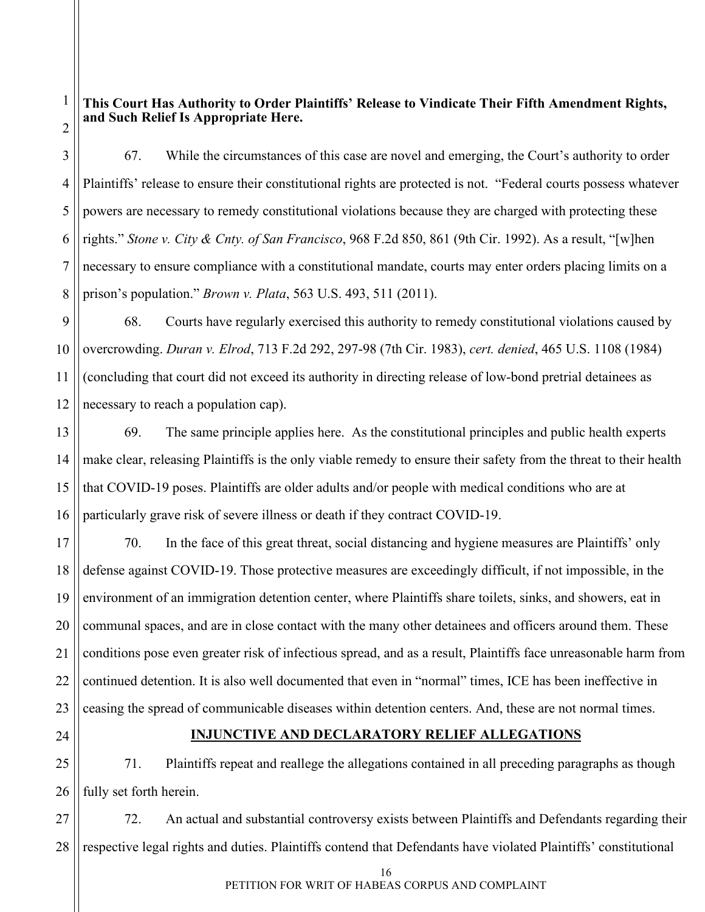#### <span id="page-18-0"></span>2 **This Court Has Authority to Order Plaintiffs' Release to Vindicate Their Fifth Amendment Rights, and Such Relief Is Appropriate Here.**

3 4 5 6 7 8 67. While the circumstances of this case are novel and emerging, the Court's authority to order Plaintiffs' release to ensure their constitutional rights are protected is not. "Federal courts possess whatever powers are necessary to remedy constitutional violations because they are charged with protecting these rights." *Stone v. City & Cnty. of San Francisco*, 968 F.2d 850, 861 (9th Cir. 1992). As a result, "[w]hen necessary to ensure compliance with a constitutional mandate, courts may enter orders placing limits on a prison's population." *Brown v. Plata*, 563 U.S. 493, 511 (2011).

9 10 11 12 68. Courts have regularly exercised this authority to remedy constitutional violations caused by overcrowding. *Duran v. Elrod*, 713 F.2d 292, 297-98 (7th Cir. 1983), *cert. denied*, 465 U.S. 1108 (1984) (concluding that court did not exceed its authority in directing release of low-bond pretrial detainees as necessary to reach a population cap).

13 14 15 16 69. The same principle applies here. As the constitutional principles and public health experts make clear, releasing Plaintiffs is the only viable remedy to ensure their safety from the threat to their health that COVID-19 poses. Plaintiffs are older adults and/or people with medical conditions who are at particularly grave risk of severe illness or death if they contract COVID-19.

17 18 19 20 21 22 23 70. In the face of this great threat, social distancing and hygiene measures are Plaintiffs' only defense against COVID-19. Those protective measures are exceedingly difficult, if not impossible, in the environment of an immigration detention center, where Plaintiffs share toilets, sinks, and showers, eat in communal spaces, and are in close contact with the many other detainees and officers around them. These conditions pose even greater risk of infectious spread, and as a result, Plaintiffs face unreasonable harm from continued detention. It is also well documented that even in "normal" times, ICE has been ineffective in ceasing the spread of communicable diseases within detention centers. And, these are not normal times.

<span id="page-18-1"></span>24

1

### **INJUNCTIVE AND DECLARATORY RELIEF ALLEGATIONS**

25 26 71. Plaintiffs repeat and reallege the allegations contained in all preceding paragraphs as though fully set forth herein.

27 28 72. An actual and substantial controversy exists between Plaintiffs and Defendants regarding their respective legal rights and duties. Plaintiffs contend that Defendants have violated Plaintiffs' constitutional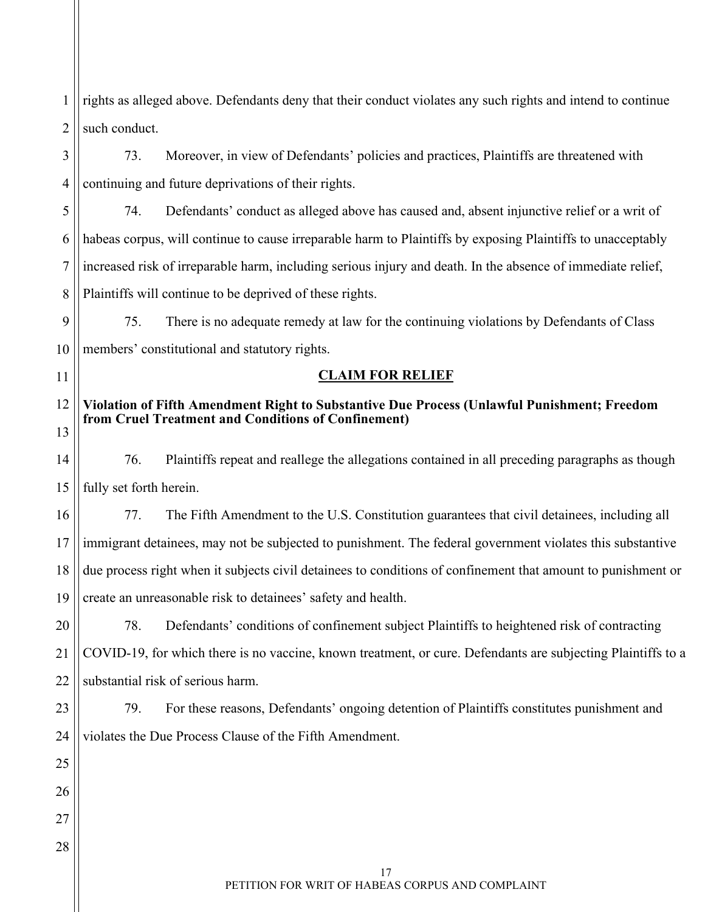1 2 rights as alleged above. Defendants deny that their conduct violates any such rights and intend to continue such conduct.

3 4 73. Moreover, in view of Defendants' policies and practices, Plaintiffs are threatened with continuing and future deprivations of their rights.

5 6 7 8 74. Defendants' conduct as alleged above has caused and, absent injunctive relief or a writ of habeas corpus, will continue to cause irreparable harm to Plaintiffs by exposing Plaintiffs to unacceptably increased risk of irreparable harm, including serious injury and death. In the absence of immediate relief, Plaintiffs will continue to be deprived of these rights.

9 10 75. There is no adequate remedy at law for the continuing violations by Defendants of Class members' constitutional and statutory rights.

<span id="page-19-0"></span>11

# **CLAIM FOR RELIEF**

#### <span id="page-19-1"></span>12 13 **Violation of Fifth Amendment Right to Substantive Due Process (Unlawful Punishment; Freedom from Cruel Treatment and Conditions of Confinement)**

14 15 76. Plaintiffs repeat and reallege the allegations contained in all preceding paragraphs as though fully set forth herein.

16 17 18 19 77. The Fifth Amendment to the U.S. Constitution guarantees that civil detainees, including all immigrant detainees, may not be subjected to punishment. The federal government violates this substantive due process right when it subjects civil detainees to conditions of confinement that amount to punishment or create an unreasonable risk to detainees' safety and health.

20 21 22 78. Defendants' conditions of confinement subject Plaintiffs to heightened risk of contracting COVID-19, for which there is no vaccine, known treatment, or cure. Defendants are subjecting Plaintiffs to a substantial risk of serious harm.

79. For these reasons, Defendants' ongoing detention of Plaintiffs constitutes punishment and

23 24 violates the Due Process Clause of the Fifth Amendment.

25

26

27

28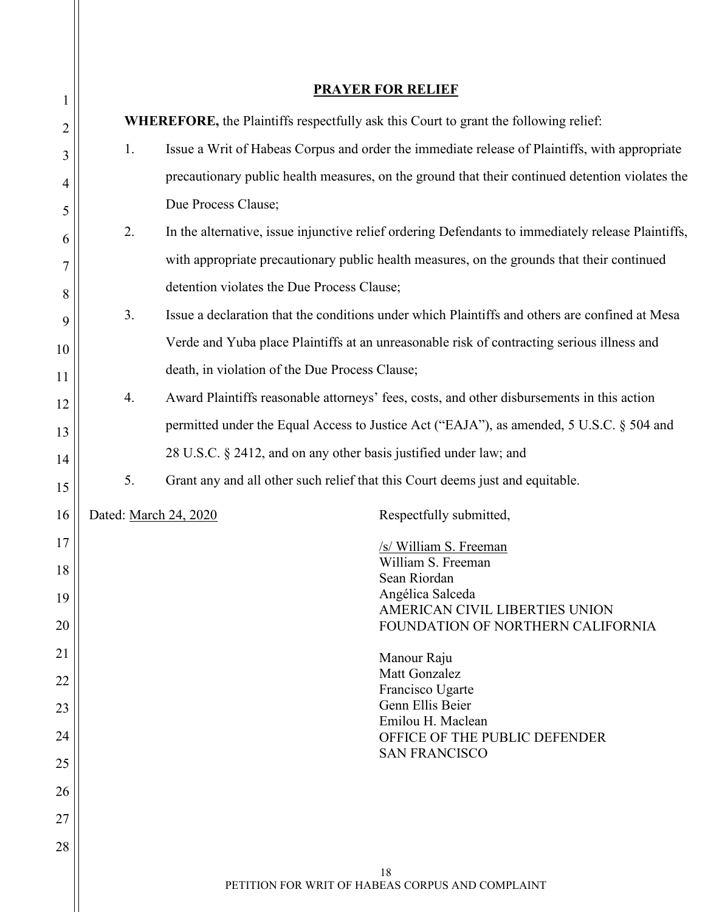<span id="page-20-0"></span>

| $\mathbf{1}$   | <b>PRAYER FOR RELIEF</b> |                                                                                             |                                                                                                    |  |  |
|----------------|--------------------------|---------------------------------------------------------------------------------------------|----------------------------------------------------------------------------------------------------|--|--|
| 2              |                          | <b>WHEREFORE, the Plaintiffs respectfully ask this Court to grant the following relief:</b> |                                                                                                    |  |  |
| 3              | 1.                       |                                                                                             | Issue a Writ of Habeas Corpus and order the immediate release of Plaintiffs, with appropriate      |  |  |
| $\overline{4}$ |                          |                                                                                             | precautionary public health measures, on the ground that their continued detention violates the    |  |  |
| 5              |                          | Due Process Clause;                                                                         |                                                                                                    |  |  |
| 6              | 2.                       |                                                                                             | In the alternative, issue injunctive relief ordering Defendants to immediately release Plaintiffs, |  |  |
| 7              |                          |                                                                                             | with appropriate precautionary public health measures, on the grounds that their continued         |  |  |
| 8              |                          | detention violates the Due Process Clause;                                                  |                                                                                                    |  |  |
| 9              | 3.                       |                                                                                             | Issue a declaration that the conditions under which Plaintiffs and others are confined at Mesa     |  |  |
| 10             |                          |                                                                                             | Verde and Yuba place Plaintiffs at an unreasonable risk of contracting serious illness and         |  |  |
| 11             |                          | death, in violation of the Due Process Clause;                                              |                                                                                                    |  |  |
| 12             | 4.                       |                                                                                             | Award Plaintiffs reasonable attorneys' fees, costs, and other disbursements in this action         |  |  |
| 13             |                          |                                                                                             | permitted under the Equal Access to Justice Act ("EAJA"), as amended, 5 U.S.C. § 504 and           |  |  |
| 14             |                          | 28 U.S.C. § 2412, and on any other basis justified under law; and                           |                                                                                                    |  |  |
| 15             | 5.                       | Grant any and all other such relief that this Court deems just and equitable.               |                                                                                                    |  |  |
| 16             | Dated: March 24, 2020    |                                                                                             | Respectfully submitted,                                                                            |  |  |
| 17             |                          |                                                                                             | /s/ William S. Freeman                                                                             |  |  |
| 18             |                          |                                                                                             | William S. Freeman<br>Sean Riordan                                                                 |  |  |
| 19             |                          |                                                                                             | Angélica Salceda<br>AMERICAN CIVIL LIBERTIES UNION                                                 |  |  |
| 20             |                          |                                                                                             | FOUNDATION OF NORTHERN CALIFORNIA                                                                  |  |  |
| 21             |                          |                                                                                             | Manour Raju                                                                                        |  |  |
| 22             |                          |                                                                                             | Matt Gonzalez<br>Francisco Ugarte                                                                  |  |  |
| 23             |                          |                                                                                             | Genn Ellis Beier<br>Emilou H. Maclean                                                              |  |  |
| 24             |                          |                                                                                             | OFFICE OF THE PUBLIC DEFENDER<br><b>SAN FRANCISCO</b>                                              |  |  |
| 25             |                          |                                                                                             |                                                                                                    |  |  |
| 26             |                          |                                                                                             |                                                                                                    |  |  |
| 27             |                          |                                                                                             |                                                                                                    |  |  |
| 28             |                          |                                                                                             |                                                                                                    |  |  |
|                |                          | 18                                                                                          |                                                                                                    |  |  |